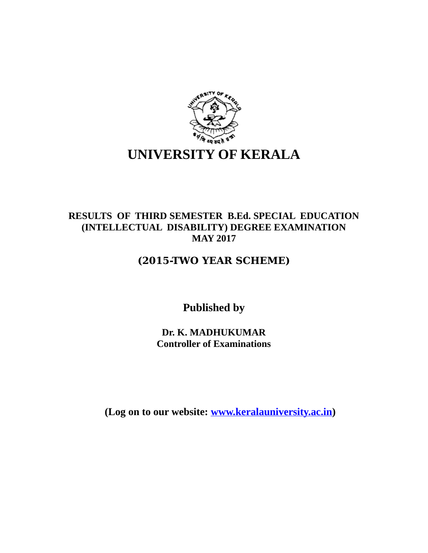

## **RESULTS OF THIRD SEMESTER B.Ed. SPECIAL EDUCATION (INTELLECTUAL DISABILITY) DEGREE EXAMINATION MAY 2017**

## **(2015-TWO YEAR SCHEME)**

**Published by**

**Dr. K. MADHUKUMAR Controller of Examinations**

**(Log on to our website: [www.keralauniversity.ac.in\)](http://www.keralauniversity.ac.in/)**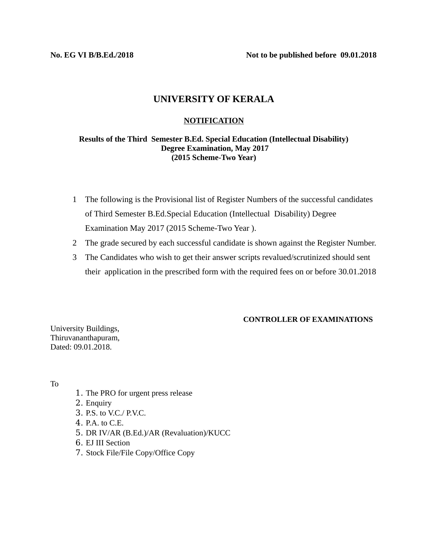**No. EG VI B/B.Ed./2018 Not to be published before 09.01.2018**

### **UNIVERSITY OF KERALA**

### **NOTIFICATION**

### **Results of the Third Semester B.Ed. Special Education (Intellectual Disability) Degree Examination, May 2017 (2015 Scheme-Two Year)**

- 1 The following is the Provisional list of Register Numbers of the successful candidates of Third Semester B.Ed.Special Education (Intellectual Disability) Degree Examination May 2017 (2015 Scheme-Two Year ).
- 2 The grade secured by each successful candidate is shown against the Register Number.
- 3 The Candidates who wish to get their answer scripts revalued/scrutinized should sent their application in the prescribed form with the required fees on or before 30.01.2018

### **CONTROLLER OF EXAMINATIONS**

University Buildings, Thiruvananthapuram, Dated: 09.01.2018.

To

- 1. The PRO for urgent press release
- 2. Enquiry
- 3. P.S. to V.C./ P.V.C.
- 4. P.A. to C.E.
- 5. DR IV/AR (B.Ed.)/AR (Revaluation)/KUCC
- 6. EJ III Section
- 7. Stock File/File Copy/Office Copy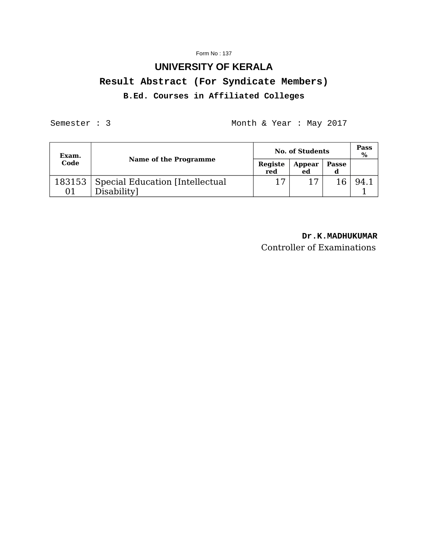#### Form No : 137

# **UNIVERSITY OF KERALA Result Abstract (For Syndicate Members) B.Ed. Courses in Affiliated Colleges**

Semester : 3 Month & Year : May 2017

| Exam. | Name of the Programme                                    | <b>No. of Students</b> |              |       | <b>Pass</b><br>$\%$ |
|-------|----------------------------------------------------------|------------------------|--------------|-------|---------------------|
| Code  |                                                          | Registe<br>red         | Appear<br>ed | Passe |                     |
| 01    | 183153   Special Education [Intellectual]<br>Disability] | 17                     | 17           |       |                     |

### **Dr.K.MADHUKUMAR**

Controller of Examinations